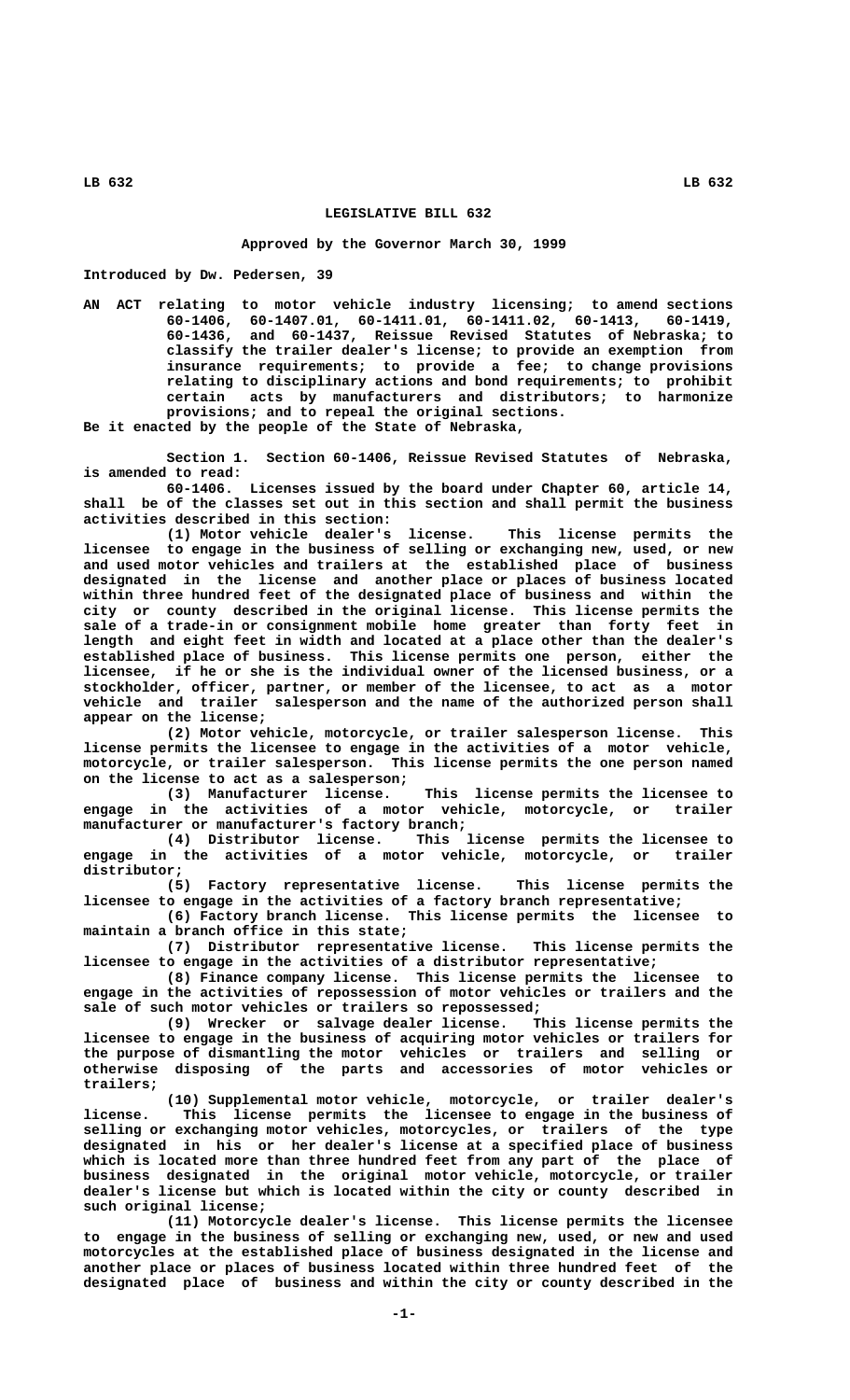## **LEGISLATIVE BILL 632**

## **Approved by the Governor March 30, 1999**

**Introduced by Dw. Pedersen, 39**

**AN ACT relating to motor vehicle industry licensing; to amend sections 60-1406, 60-1407.01, 60-1411.01, 60-1411.02, 60-1413, 60-1419, 60-1436, and 60-1437, Reissue Revised Statutes of Nebraska; to classify the trailer dealer's license; to provide an exemption from insurance requirements; to provide a fee; to change provisions relating to disciplinary actions and bond requirements; to prohibit certain acts by manufacturers and distributors; to harmonize provisions; and to repeal the original sections. Be it enacted by the people of the State of Nebraska,**

**Section 1. Section 60-1406, Reissue Revised Statutes of Nebraska, is amended to read:**

**60-1406. Licenses issued by the board under Chapter 60, article 14, shall be of the classes set out in this section and shall permit the business activities described in this section:**

**(1) Motor vehicle dealer's license. This license permits the licensee to engage in the business of selling or exchanging new, used, or new and used motor vehicles and trailers at the established place of business designated in the license and another place or places of business located within three hundred feet of the designated place of business and within the city or county described in the original license. This license permits the sale of a trade-in or consignment mobile home greater than forty feet in length and eight feet in width and located at a place other than the dealer's established place of business. This license permits one person, either the licensee, if he or she is the individual owner of the licensed business, or a stockholder, officer, partner, or member of the licensee, to act as a motor vehicle and trailer salesperson and the name of the authorized person shall appear on the license;**

**(2) Motor vehicle, motorcycle, or trailer salesperson license. This license permits the licensee to engage in the activities of a motor vehicle, motorcycle, or trailer salesperson. This license permits the one person named on the license to act as a salesperson;**

**(3) Manufacturer license. This license permits the licensee to engage in the activities of a motor vehicle, motorcycle, or trailer manufacturer or manufacturer's factory branch;**

**(4) Distributor license. This license permits the licensee to engage in the activities of a motor vehicle, motorcycle, or trailer distributor;**

**(5) Factory representative license. This license permits the licensee to engage in the activities of a factory branch representative;**

**(6) Factory branch license. This license permits the licensee to maintain a branch office in this state;**

**(7) Distributor representative license. This license permits the licensee to engage in the activities of a distributor representative;**

**(8) Finance company license. This license permits the licensee to engage in the activities of repossession of motor vehicles or trailers and the sale of such motor vehicles or trailers so repossessed;**

**(9) Wrecker or salvage dealer license. This license permits the licensee to engage in the business of acquiring motor vehicles or trailers for the purpose of dismantling the motor vehicles or trailers and selling or otherwise disposing of the parts and accessories of motor vehicles or trailers;**

**(10) Supplemental motor vehicle, motorcycle, or trailer dealer's license. This license permits the licensee to engage in the business of selling or exchanging motor vehicles, motorcycles, or trailers of the type designated in his or her dealer's license at a specified place of business which is located more than three hundred feet from any part of the place of business designated in the original motor vehicle, motorcycle, or trailer dealer's license but which is located within the city or county described in such original license;**

**(11) Motorcycle dealer's license. This license permits the licensee to engage in the business of selling or exchanging new, used, or new and used motorcycles at the established place of business designated in the license and another place or places of business located within three hundred feet of the designated place of business and within the city or county described in the**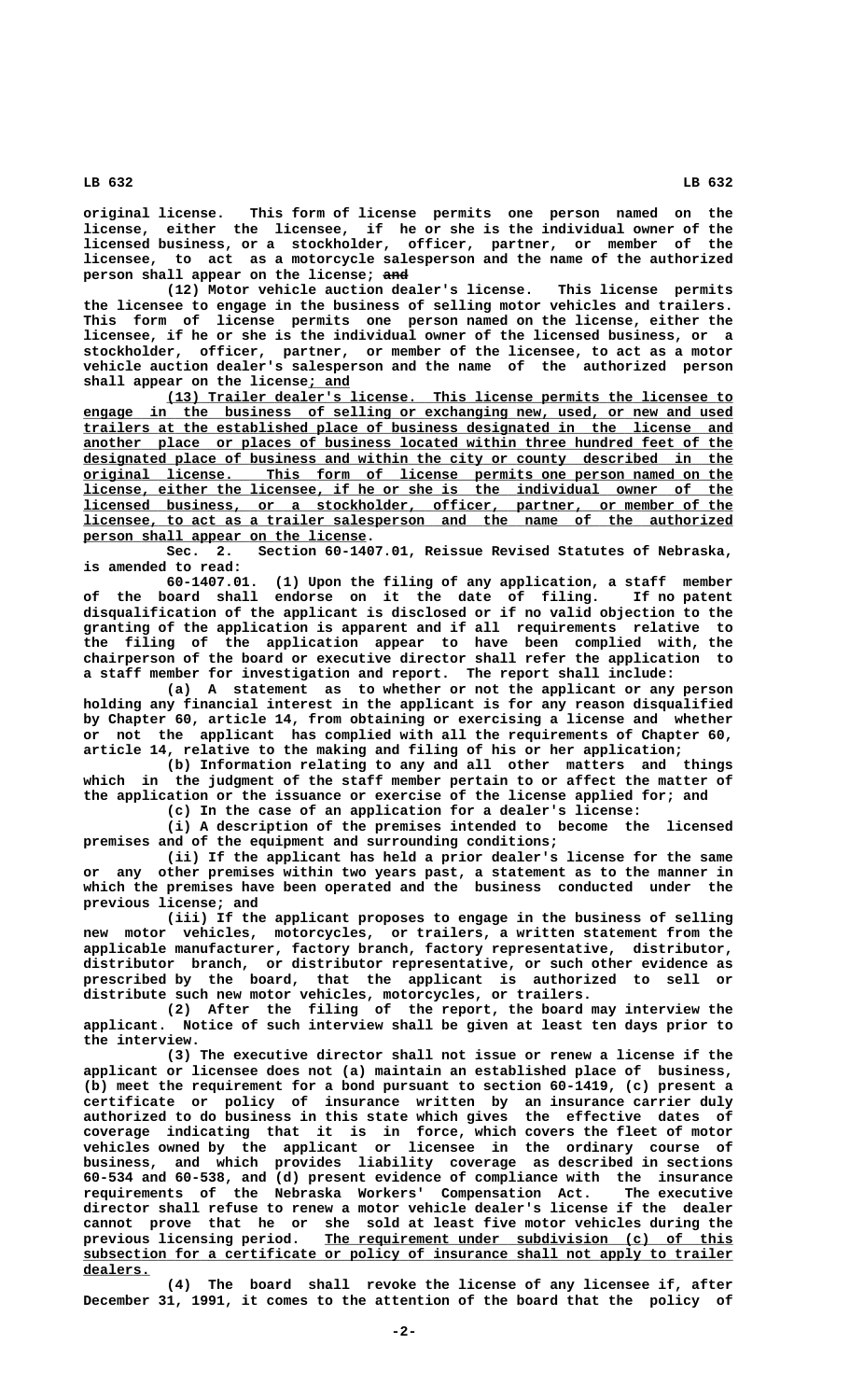**original license. This form of license permits one person named on the license, either the licensee, if he or she is the individual owner of the licensed business, or a stockholder, officer, partner, or member of the licensee, to act as a motorcycle salesperson and the name of the authorized** person shall appear on the license; and

**(12) Motor vehicle auction dealer's license. This license permits the licensee to engage in the business of selling motor vehicles and trailers. This form of license permits one person named on the license, either the licensee, if he or she is the individual owner of the licensed business, or a stockholder, officer, partner, or member of the licensee, to act as a motor vehicle auction dealer's salesperson and the name of the authorized person** shall appear on the license; and

 **\_\_\_\_\_\_\_\_\_\_\_\_\_\_\_\_\_\_\_\_\_\_\_\_\_\_\_\_\_\_\_\_\_\_\_\_\_\_\_\_\_\_\_\_\_\_\_\_\_\_\_\_\_\_\_\_\_\_\_\_\_\_\_\_\_\_\_\_ (13) Trailer dealer's license. This license permits the licensee to \_\_\_\_\_\_\_\_\_\_\_\_\_\_\_\_\_\_\_\_\_\_\_\_\_\_\_\_\_\_\_\_\_\_\_\_\_\_\_\_\_\_\_\_\_\_\_\_\_\_\_\_\_\_\_\_\_\_\_\_\_\_\_\_\_\_\_\_\_\_\_\_\_\_\_\_\_\_ engage in the business of selling or exchanging new, used, or new and used \_\_\_\_\_\_\_\_\_\_\_\_\_\_\_\_\_\_\_\_\_\_\_\_\_\_\_\_\_\_\_\_\_\_\_\_\_\_\_\_\_\_\_\_\_\_\_\_\_\_\_\_\_\_\_\_\_\_\_\_\_\_\_\_\_\_\_\_\_\_\_\_\_\_\_\_\_\_ trailers at the established place of business designated in the license and \_\_\_\_\_\_\_\_\_\_\_\_\_\_\_\_\_\_\_\_\_\_\_\_\_\_\_\_\_\_\_\_\_\_\_\_\_\_\_\_\_\_\_\_\_\_\_\_\_\_\_\_\_\_\_\_\_\_\_\_\_\_\_\_\_\_\_\_\_\_\_\_\_\_\_\_\_\_ another place or places of business located within three hundred feet of the \_\_\_\_\_\_\_\_\_\_\_\_\_\_\_\_\_\_\_\_\_\_\_\_\_\_\_\_\_\_\_\_\_\_\_\_\_\_\_\_\_\_\_\_\_\_\_\_\_\_\_\_\_\_\_\_\_\_\_\_\_\_\_\_\_\_\_\_\_\_\_\_\_\_\_\_\_\_ designated place of business and within the city or county described in the \_\_\_\_\_\_\_\_\_\_\_\_\_\_\_\_\_\_\_\_\_\_\_\_\_\_\_\_\_\_\_\_\_\_\_\_\_\_\_\_\_\_\_\_\_\_\_\_\_\_\_\_\_\_\_\_\_\_\_\_\_\_\_\_\_\_\_\_\_\_\_\_\_\_\_\_\_\_ original license. This form of license permits one person named on the \_\_\_\_\_\_\_\_\_\_\_\_\_\_\_\_\_\_\_\_\_\_\_\_\_\_\_\_\_\_\_\_\_\_\_\_\_\_\_\_\_\_\_\_\_\_\_\_\_\_\_\_\_\_\_\_\_\_\_\_\_\_\_\_\_\_\_\_\_\_\_\_\_\_\_\_\_\_ license, either the licensee, if he or she is the individual owner of the \_\_\_\_\_\_\_\_\_\_\_\_\_\_\_\_\_\_\_\_\_\_\_\_\_\_\_\_\_\_\_\_\_\_\_\_\_\_\_\_\_\_\_\_\_\_\_\_\_\_\_\_\_\_\_\_\_\_\_\_\_\_\_\_\_\_\_\_\_\_\_\_\_\_\_\_\_\_ licensed business, or a stockholder, officer, partner, or member of the \_\_\_\_\_\_\_\_\_\_\_\_\_\_\_\_\_\_\_\_\_\_\_\_\_\_\_\_\_\_\_\_\_\_\_\_\_\_\_\_\_\_\_\_\_\_\_\_\_\_\_\_\_\_\_\_\_\_\_\_\_\_\_\_\_\_\_\_\_\_\_\_\_\_\_\_\_\_ licensee, to act as a trailer salesperson and the name of the authorized \_\_\_\_\_\_\_\_\_\_\_\_\_\_\_\_\_\_\_\_\_\_\_\_\_\_\_\_\_\_\_\_\_\_ person shall appear on the license.**

**Sec. 2. Section 60-1407.01, Reissue Revised Statutes of Nebraska, is amended to read:**

**60-1407.01. (1) Upon the filing of any application, a staff member of the board shall endorse on it the date of filing. If no patent disqualification of the applicant is disclosed or if no valid objection to the granting of the application is apparent and if all requirements relative to the filing of the application appear to have been complied with, the chairperson of the board or executive director shall refer the application to a staff member for investigation and report. The report shall include:**

**(a) A statement as to whether or not the applicant or any person holding any financial interest in the applicant is for any reason disqualified by Chapter 60, article 14, from obtaining or exercising a license and whether or not the applicant has complied with all the requirements of Chapter 60, article 14, relative to the making and filing of his or her application;**

**(b) Information relating to any and all other matters and things which in the judgment of the staff member pertain to or affect the matter of the application or the issuance or exercise of the license applied for; and (c) In the case of an application for a dealer's license:**

**(i) A description of the premises intended to become the licensed premises and of the equipment and surrounding conditions;**

**(ii) If the applicant has held a prior dealer's license for the same or any other premises within two years past, a statement as to the manner in which the premises have been operated and the business conducted under the previous license; and**

**(iii) If the applicant proposes to engage in the business of selling new motor vehicles, motorcycles, or trailers, a written statement from the applicable manufacturer, factory branch, factory representative, distributor, distributor branch, or distributor representative, or such other evidence as prescribed by the board, that the applicant is authorized to sell or distribute such new motor vehicles, motorcycles, or trailers.**

**(2) After the filing of the report, the board may interview the applicant. Notice of such interview shall be given at least ten days prior to the interview.**

**(3) The executive director shall not issue or renew a license if the applicant or licensee does not (a) maintain an established place of business, (b) meet the requirement for a bond pursuant to section 60-1419, (c) present a certificate or policy of insurance written by an insurance carrier duly authorized to do business in this state which gives the effective dates of coverage indicating that it is in force, which covers the fleet of motor vehicles owned by the applicant or licensee in the ordinary course of business, and which provides liability coverage as described in sections 60-534 and 60-538, and (d) present evidence of compliance with the insurance requirements of the Nebraska Workers' Compensation Act. The executive director shall refuse to renew a motor vehicle dealer's license if the dealer cannot prove that he or she sold at least five motor vehicles during the** previous licensing period. <u>The requirement under subdivision (c) of this</u>  **\_\_\_\_\_\_\_\_\_\_\_\_\_\_\_\_\_\_\_\_\_\_\_\_\_\_\_\_\_\_\_\_\_\_\_\_\_\_\_\_\_\_\_\_\_\_\_\_\_\_\_\_\_\_\_\_\_\_\_\_\_\_\_\_\_\_\_\_\_\_\_\_\_\_\_\_\_\_ subsection for a certificate or policy of insurance shall not apply to trailer dealers. \_\_\_\_\_\_\_\_**

**(4) The board shall revoke the license of any licensee if, after December 31, 1991, it comes to the attention of the board that the policy of**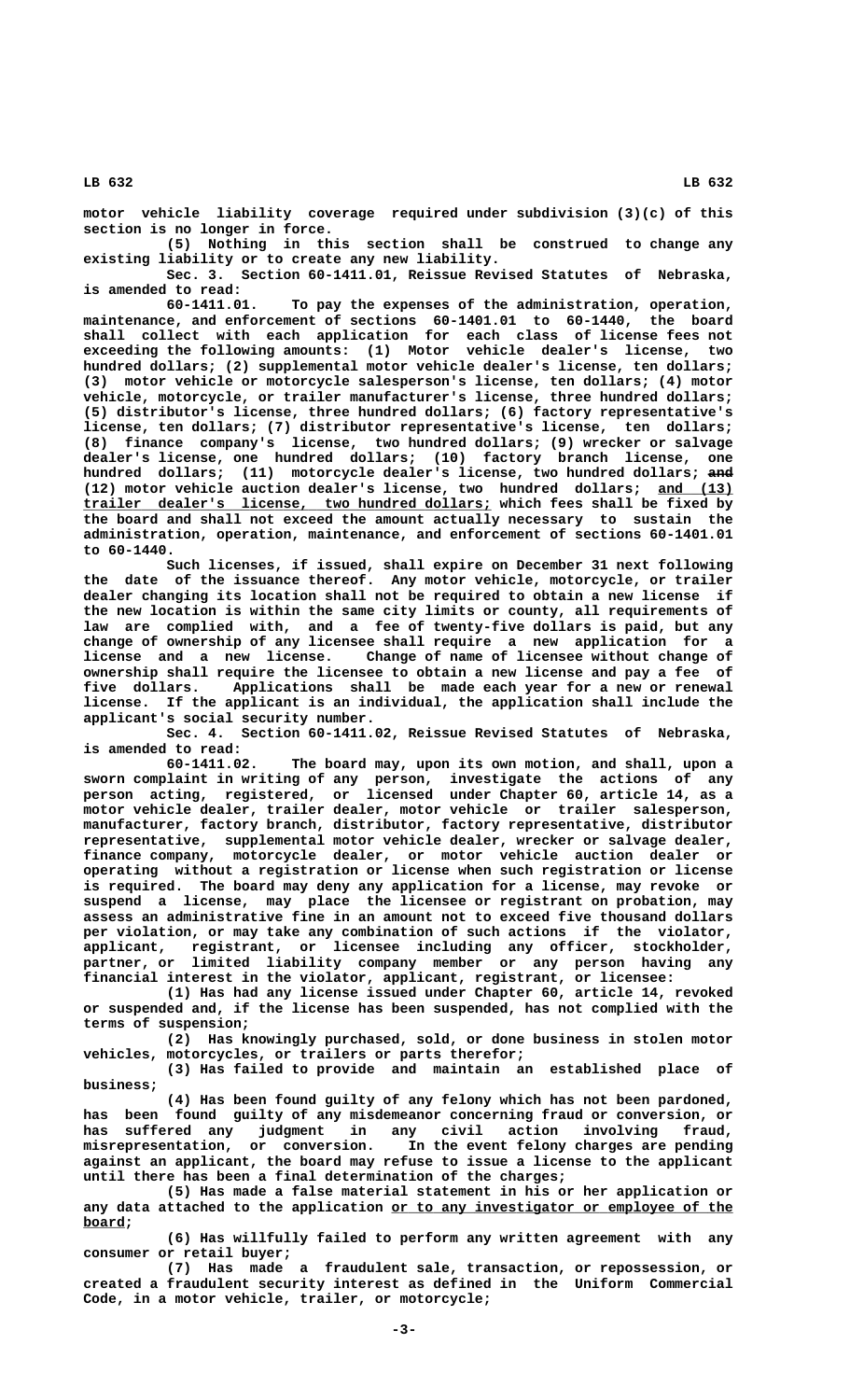**motor vehicle liability coverage required under subdivision (3)(c) of this section is no longer in force.**

**(5) Nothing in this section shall be construed to change any existing liability or to create any new liability.**

**Sec. 3. Section 60-1411.01, Reissue Revised Statutes of Nebraska, is amended to read:**

**60-1411.01. To pay the expenses of the administration, operation, maintenance, and enforcement of sections 60-1401.01 to 60-1440, the board shall collect with each application for each class of license fees not exceeding the following amounts: (1) Motor vehicle dealer's license, two hundred dollars; (2) supplemental motor vehicle dealer's license, ten dollars; (3) motor vehicle or motorcycle salesperson's license, ten dollars; (4) motor vehicle, motorcycle, or trailer manufacturer's license, three hundred dollars; (5) distributor's license, three hundred dollars; (6) factory representative's license, ten dollars; (7) distributor representative's license, ten dollars; (8) finance company's license, two hundred dollars; (9) wrecker or salvage dealer's license, one hundred dollars; (10) factory branch license, one hundred dollars; (11) motorcycle dealer's license, two hundred dollars; and ——— (12) motor vehicle auction dealer's license, two hundred dollars; and (13) \_\_\_\_\_\_\_\_\_ \_\_\_\_\_\_\_\_\_\_\_\_\_\_\_\_\_\_\_\_\_\_\_\_\_\_\_\_\_\_\_\_\_\_\_\_\_\_\_\_\_\_\_\_\_\_\_\_\_ trailer dealer's license, two hundred dollars; which fees shall be fixed by the board and shall not exceed the amount actually necessary to sustain the administration, operation, maintenance, and enforcement of sections 60-1401.01 to 60-1440.**

**Such licenses, if issued, shall expire on December 31 next following the date of the issuance thereof. Any motor vehicle, motorcycle, or trailer dealer changing its location shall not be required to obtain a new license if the new location is within the same city limits or county, all requirements of law are complied with, and a fee of twenty-five dollars is paid, but any change of ownership of any licensee shall require a new application for a license and a new license. Change of name of licensee without change of ownership shall require the licensee to obtain a new license and pay a fee of five dollars. Applications shall be made each year for a new or renewal license. If the applicant is an individual, the application shall include the applicant's social security number.**

**Sec. 4. Section 60-1411.02, Reissue Revised Statutes of Nebraska, is amended to read:**

The board may, upon its own motion, and shall, upon a **sworn complaint in writing of any person, investigate the actions of any person acting, registered, or licensed under Chapter 60, article 14, as a motor vehicle dealer, trailer dealer, motor vehicle or trailer salesperson, manufacturer, factory branch, distributor, factory representative, distributor representative, supplemental motor vehicle dealer, wrecker or salvage dealer, finance company, motorcycle dealer, or motor vehicle auction dealer or operating without a registration or license when such registration or license is required. The board may deny any application for a license, may revoke or suspend a license, may place the licensee or registrant on probation, may assess an administrative fine in an amount not to exceed five thousand dollars per violation, or may take any combination of such actions if the violator, applicant, registrant, or licensee including any officer, stockholder, partner, or limited liability company member or any person having any financial interest in the violator, applicant, registrant, or licensee:**

**(1) Has had any license issued under Chapter 60, article 14, revoked or suspended and, if the license has been suspended, has not complied with the terms of suspension;**

**(2) Has knowingly purchased, sold, or done business in stolen motor vehicles, motorcycles, or trailers or parts therefor;**

**(3) Has failed to provide and maintain an established place of business;**

**(4) Has been found guilty of any felony which has not been pardoned, has been found guilty of any misdemeanor concerning fraud or conversion, or has suffered any judgment in any civil action involving fraud, misrepresentation, or conversion. In the event felony charges are pending against an applicant, the board may refuse to issue a license to the applicant until there has been a final determination of the charges;**

**(5) Has made a false material statement in his or her application or** any data attached to the application or to any investigator or employee of the  **board; \_\_\_\_\_**

**(6) Has willfully failed to perform any written agreement with any consumer or retail buyer;**

**(7) Has made a fraudulent sale, transaction, or repossession, or created a fraudulent security interest as defined in the Uniform Commercial Code, in a motor vehicle, trailer, or motorcycle;**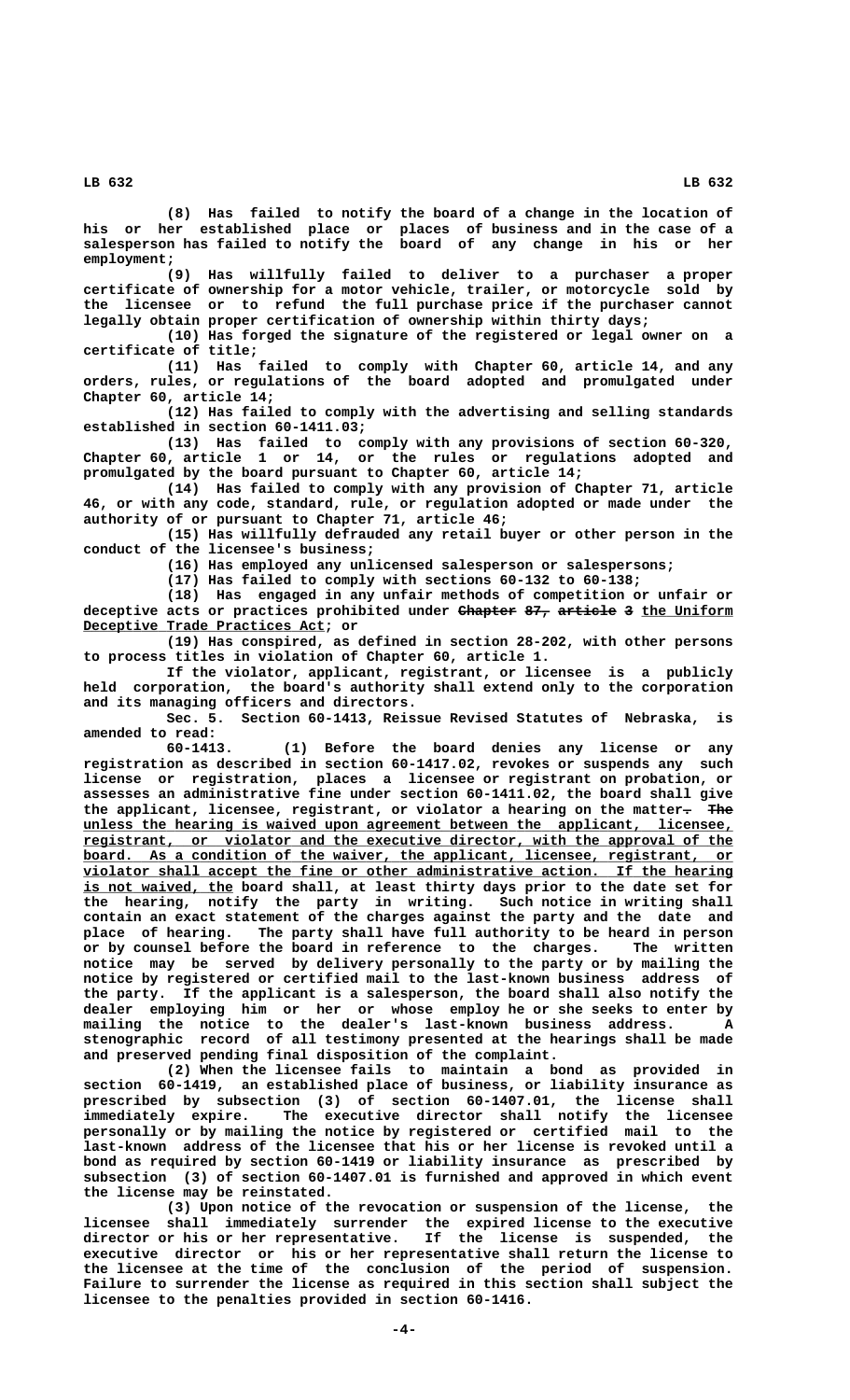**(8) Has failed to notify the board of a change in the location of his or her established place or places of business and in the case of a salesperson has failed to notify the board of any change in his or her employment;**

**(9) Has willfully failed to deliver to a purchaser a proper certificate of ownership for a motor vehicle, trailer, or motorcycle sold by the licensee or to refund the full purchase price if the purchaser cannot legally obtain proper certification of ownership within thirty days;**

**(10) Has forged the signature of the registered or legal owner on a certificate of title;**

**(11) Has failed to comply with Chapter 60, article 14, and any orders, rules, or regulations of the board adopted and promulgated under Chapter 60, article 14;**

**(12) Has failed to comply with the advertising and selling standards established in section 60-1411.03;**

**(13) Has failed to comply with any provisions of section 60-320, Chapter 60, article 1 or 14, or the rules or regulations adopted and promulgated by the board pursuant to Chapter 60, article 14;**

**(14) Has failed to comply with any provision of Chapter 71, article 46, or with any code, standard, rule, or regulation adopted or made under the authority of or pursuant to Chapter 71, article 46;**

**(15) Has willfully defrauded any retail buyer or other person in the conduct of the licensee's business;**

**(16) Has employed any unlicensed salesperson or salespersons;**

**(17) Has failed to comply with sections 60-132 to 60-138;**

**(18) Has engaged in any unfair methods of competition or unfair or** deceptive acts or practices prohibited under <del>Chapter 87, article</del> 3 the Uniform  **\_\_\_\_\_\_\_\_\_\_\_\_\_\_\_\_\_\_\_\_\_\_\_\_\_\_\_\_\_ Deceptive Trade Practices Act; or**

**(19) Has conspired, as defined in section 28-202, with other persons to process titles in violation of Chapter 60, article 1.**

**If the violator, applicant, registrant, or licensee is a publicly held corporation, the board's authority shall extend only to the corporation and its managing officers and directors.**

**Sec. 5. Section 60-1413, Reissue Revised Statutes of Nebraska, is amended to read:**

**60-1413. (1) Before the board denies any license or any registration as described in section 60-1417.02, revokes or suspends any such license or registration, places a licensee or registrant on probation, or assesses an administrative fine under section 60-1411.02, the board shall give** the applicant, licensee, registrant, or violator a hearing on the matter- The  **\_\_\_\_\_\_\_\_\_\_\_\_\_\_\_\_\_\_\_\_\_\_\_\_\_\_\_\_\_\_\_\_\_\_\_\_\_\_\_\_\_\_\_\_\_\_\_\_\_\_\_\_\_\_\_\_\_\_\_\_\_\_\_\_\_\_\_\_\_\_\_\_\_\_\_\_\_\_ unless the hearing is waived upon agreement between the applicant, licensee, \_\_\_\_\_\_\_\_\_\_\_\_\_\_\_\_\_\_\_\_\_\_\_\_\_\_\_\_\_\_\_\_\_\_\_\_\_\_\_\_\_\_\_\_\_\_\_\_\_\_\_\_\_\_\_\_\_\_\_\_\_\_\_\_\_\_\_\_\_\_\_\_\_\_\_\_\_\_ registrant, or violator and the executive director, with the approval of the board.** As a condition of the waiver, the applicant, licensee, registrant, or  **\_\_\_\_\_\_\_\_\_\_\_\_\_\_\_\_\_\_\_\_\_\_\_\_\_\_\_\_\_\_\_\_\_\_\_\_\_\_\_\_\_\_\_\_\_\_\_\_\_\_\_\_\_\_\_\_\_\_\_\_\_\_\_\_\_\_\_\_\_\_\_\_\_\_\_\_\_\_ violator shall accept the fine or other administrative action. If the hearing** is not waived, the board shall, at least thirty days prior to the date set for **the hearing, notify the party in writing. Such notice in writing shall contain an exact statement of the charges against the party and the date and place of hearing. The party shall have full authority to be heard in person or by counsel before the board in reference to the charges. The written notice may be served by delivery personally to the party or by mailing the notice by registered or certified mail to the last-known business address of the party. If the applicant is a salesperson, the board shall also notify the dealer employing him or her or whose employ he or she seeks to enter by mailing the notice to the dealer's last-known business address. A stenographic record of all testimony presented at the hearings shall be made and preserved pending final disposition of the complaint.**

**(2) When the licensee fails to maintain a bond as provided in section 60-1419, an established place of business, or liability insurance as prescribed by subsection (3) of section 60-1407.01, the license shall immediately expire. The executive director shall notify the licensee personally or by mailing the notice by registered or certified mail to the last-known address of the licensee that his or her license is revoked until a bond as required by section 60-1419 or liability insurance as prescribed by subsection (3) of section 60-1407.01 is furnished and approved in which event the license may be reinstated.**

(3) Upon notice of the revocation or suspension of the license, **licensee shall immediately surrender the expired license to the executive director or his or her representative. If the license is suspended, the executive director or his or her representative shall return the license to the licensee at the time of the conclusion of the period of suspension. Failure to surrender the license as required in this section shall subject the licensee to the penalties provided in section 60-1416.**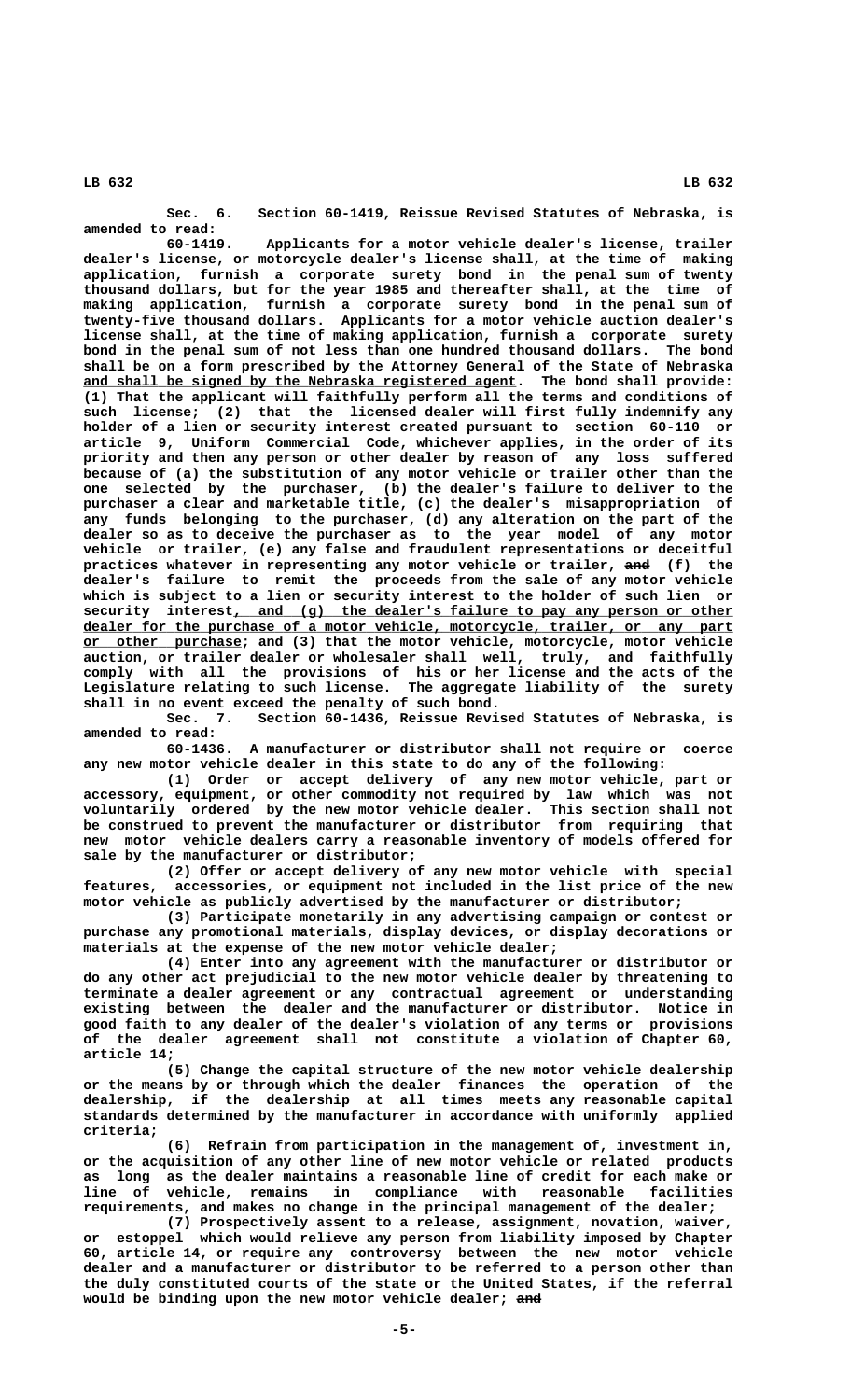**Sec. 6. Section 60-1419, Reissue Revised Statutes of Nebraska, is amended to read:**

**60-1419. Applicants for a motor vehicle dealer's license, trailer dealer's license, or motorcycle dealer's license shall, at the time of making application, furnish a corporate surety bond in the penal sum of twenty thousand dollars, but for the year 1985 and thereafter shall, at the time of making application, furnish a corporate surety bond in the penal sum of twenty-five thousand dollars. Applicants for a motor vehicle auction dealer's license shall, at the time of making application, furnish a corporate surety bond in the penal sum of not less than one hundred thousand dollars. The bond shall be on a form prescribed by the Attorney General of the State of Nebraska \_\_\_\_\_\_\_\_\_\_\_\_\_\_\_\_\_\_\_\_\_\_\_\_\_\_\_\_\_\_\_\_\_\_\_\_\_\_\_\_\_\_\_\_\_\_\_\_\_\_\_\_ and shall be signed by the Nebraska registered agent. The bond shall provide: (1) That the applicant will faithfully perform all the terms and conditions of such license; (2) that the licensed dealer will first fully indemnify any holder of a lien or security interest created pursuant to section 60-110 or article 9, Uniform Commercial Code, whichever applies, in the order of its priority and then any person or other dealer by reason of any loss suffered because of (a) the substitution of any motor vehicle or trailer other than the one selected by the purchaser, (b) the dealer's failure to deliver to the purchaser a clear and marketable title, (c) the dealer's misappropriation of any funds belonging to the purchaser, (d) any alteration on the part of the dealer so as to deceive the purchaser as to the year model of any motor vehicle or trailer, (e) any false and fraudulent representations or deceitful practices whatever in representing any motor vehicle or trailer, and (f) the dealer's failure to remit the proceeds from the sale of any motor vehicle which is subject to a lien or security interest to the holder of such lien or \_\_\_\_\_\_\_\_\_\_\_\_\_\_\_\_\_\_\_\_\_\_\_\_\_\_\_\_\_\_\_\_\_\_\_\_\_\_\_\_\_\_\_\_\_\_\_\_\_\_\_\_\_\_\_\_\_\_\_\_ security interest, and (g) the dealer's failure to pay any person or other \_\_\_\_\_\_\_\_\_\_\_\_\_\_\_\_\_\_\_\_\_\_\_\_\_\_\_\_\_\_\_\_\_\_\_\_\_\_\_\_\_\_\_\_\_\_\_\_\_\_\_\_\_\_\_\_\_\_\_\_\_\_\_\_\_\_\_\_\_\_\_\_\_\_\_\_\_\_ dealer for the purchase of a motor vehicle, motorcycle, trailer, or any part \_\_\_\_\_\_\_\_\_\_\_\_\_\_\_\_\_\_\_ or other purchase; and (3) that the motor vehicle, motorcycle, motor vehicle auction, or trailer dealer or wholesaler shall well, truly, and faithfully comply with all the provisions of his or her license and the acts of the Legislature relating to such license. The aggregate liability of the surety shall in no event exceed the penalty of such bond.**

**Sec. 7. Section 60-1436, Reissue Revised Statutes of Nebraska, is amended to read:**

**60-1436. A manufacturer or distributor shall not require or coerce any new motor vehicle dealer in this state to do any of the following:**

**(1) Order or accept delivery of any new motor vehicle, part or accessory, equipment, or other commodity not required by law which was not voluntarily ordered by the new motor vehicle dealer. This section shall not be construed to prevent the manufacturer or distributor from requiring that new motor vehicle dealers carry a reasonable inventory of models offered for sale by the manufacturer or distributor;**

**(2) Offer or accept delivery of any new motor vehicle with special features, accessories, or equipment not included in the list price of the new motor vehicle as publicly advertised by the manufacturer or distributor;**

**(3) Participate monetarily in any advertising campaign or contest or purchase any promotional materials, display devices, or display decorations or materials at the expense of the new motor vehicle dealer;**

**(4) Enter into any agreement with the manufacturer or distributor or do any other act prejudicial to the new motor vehicle dealer by threatening to terminate a dealer agreement or any contractual agreement or understanding existing between the dealer and the manufacturer or distributor. Notice in good faith to any dealer of the dealer's violation of any terms or provisions of the dealer agreement shall not constitute a violation of Chapter 60, article 14;**

**(5) Change the capital structure of the new motor vehicle dealership or the means by or through which the dealer finances the operation of the dealership, if the dealership at all times meets any reasonable capital standards determined by the manufacturer in accordance with uniformly applied criteria;**

**(6) Refrain from participation in the management of, investment in, or the acquisition of any other line of new motor vehicle or related products as long as the dealer maintains a reasonable line of credit for each make or line of vehicle, remains in compliance with reasonable facilities requirements, and makes no change in the principal management of the dealer;**

**(7) Prospectively assent to a release, assignment, novation, waiver, or estoppel which would relieve any person from liability imposed by Chapter 60, article 14, or require any controversy between the new motor vehicle dealer and a manufacturer or distributor to be referred to a person other than the duly constituted courts of the state or the United States, if the referral** would be binding upon the new motor vehicle dealer; and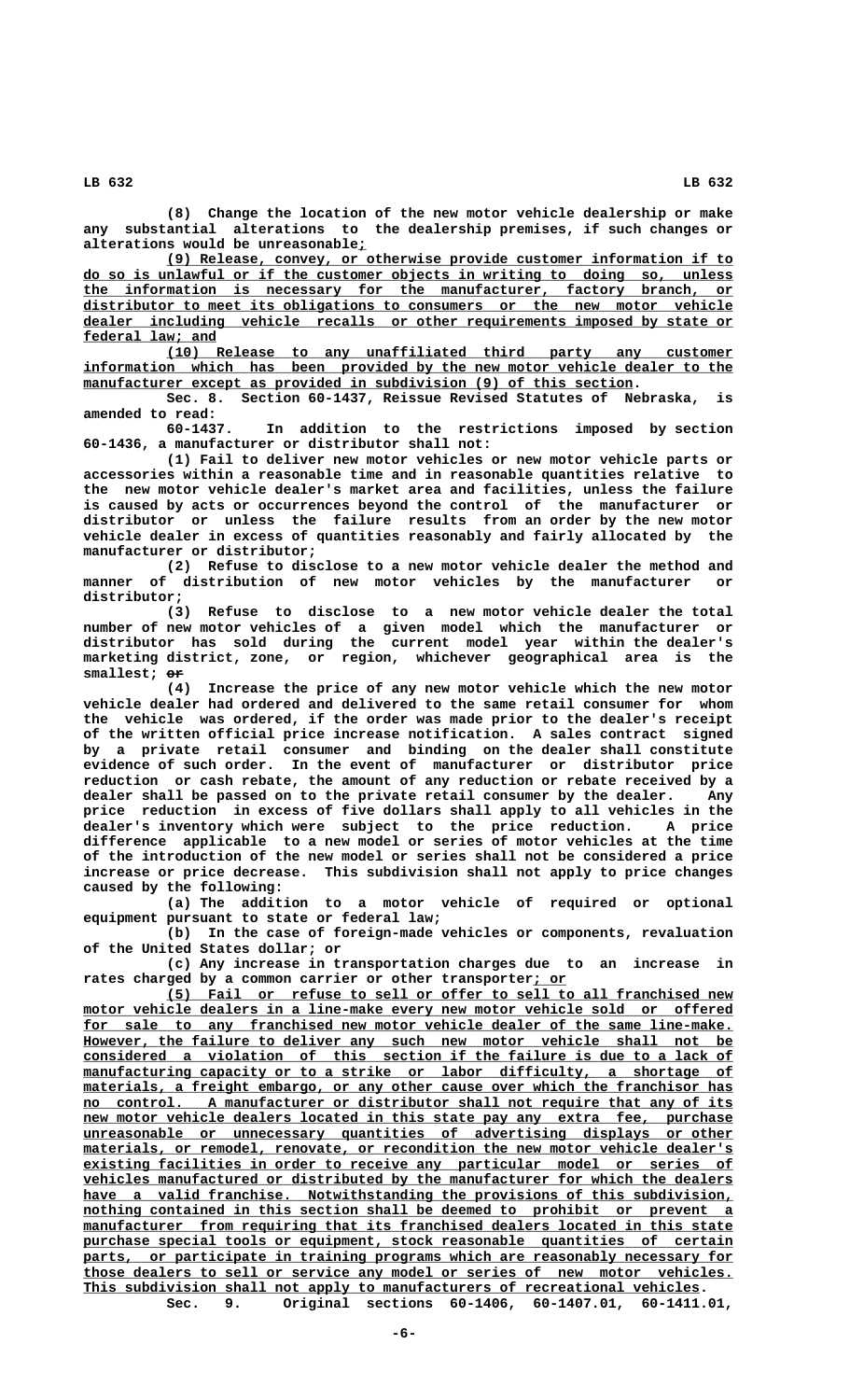**(8) Change the location of the new motor vehicle dealership or make any substantial alterations to the dealership premises, if such changes or \_ alterations would be unreasonable;**

 **\_\_\_\_\_\_\_\_\_\_\_\_\_\_\_\_\_\_\_\_\_\_\_\_\_\_\_\_\_\_\_\_\_\_\_\_\_\_\_\_\_\_\_\_\_\_\_\_\_\_\_\_\_\_\_\_\_\_\_\_\_\_\_\_\_\_\_\_ (9) Release, convey, or otherwise provide customer information if to \_\_\_\_\_\_\_\_\_\_\_\_\_\_\_\_\_\_\_\_\_\_\_\_\_\_\_\_\_\_\_\_\_\_\_\_\_\_\_\_\_\_\_\_\_\_\_\_\_\_\_\_\_\_\_\_\_\_\_\_\_\_\_\_\_\_\_\_\_\_\_\_\_\_\_\_\_\_ do so is unlawful or if the customer objects in writing to doing so, unless \_\_\_\_\_\_\_\_\_\_\_\_\_\_\_\_\_\_\_\_\_\_\_\_\_\_\_\_\_\_\_\_\_\_\_\_\_\_\_\_\_\_\_\_\_\_\_\_\_\_\_\_\_\_\_\_\_\_\_\_\_\_\_\_\_\_\_\_\_\_\_\_\_\_\_\_\_\_ the information is necessary for the manufacturer, factory branch, or \_\_\_\_\_\_\_\_\_\_\_\_\_\_\_\_\_\_\_\_\_\_\_\_\_\_\_\_\_\_\_\_\_\_\_\_\_\_\_\_\_\_\_\_\_\_\_\_\_\_\_\_\_\_\_\_\_\_\_\_\_\_\_\_\_\_\_\_\_\_\_\_\_\_\_\_\_\_ distributor to meet its obligations to consumers or the new motor vehicle \_\_\_\_\_\_\_\_\_\_\_\_\_\_\_\_\_\_\_\_\_\_\_\_\_\_\_\_\_\_\_\_\_\_\_\_\_\_\_\_\_\_\_\_\_\_\_\_\_\_\_\_\_\_\_\_\_\_\_\_\_\_\_\_\_\_\_\_\_\_\_\_\_\_\_\_\_\_ dealer including vehicle recalls or other requirements imposed by state or \_\_\_\_\_\_\_\_\_\_\_\_\_\_\_\_ federal law; and**

 **\_\_\_\_\_\_\_\_\_\_\_\_\_\_\_\_\_\_\_\_\_\_\_\_\_\_\_\_\_\_\_\_\_\_\_\_\_\_\_\_\_\_\_\_\_\_\_\_\_\_\_\_\_\_\_\_\_\_\_\_\_\_\_\_\_\_\_\_ (10) Release to any unaffiliated third party any customer \_\_\_\_\_\_\_\_\_\_\_\_\_\_\_\_\_\_\_\_\_\_\_\_\_\_\_\_\_\_\_\_\_\_\_\_\_\_\_\_\_\_\_\_\_\_\_\_\_\_\_\_\_\_\_\_\_\_\_\_\_\_\_\_\_\_\_\_\_\_\_\_\_\_\_\_\_\_ information which has been provided by the new motor vehicle dealer to the**  $manufacturer except as provided in subdivision (9) of this section.$ 

**Sec. 8. Section 60-1437, Reissue Revised Statutes of Nebraska, is amended to read:**

**60-1437. In addition to the restrictions imposed by section 60-1436, a manufacturer or distributor shall not:**

**(1) Fail to deliver new motor vehicles or new motor vehicle parts or accessories within a reasonable time and in reasonable quantities relative to the new motor vehicle dealer's market area and facilities, unless the failure is caused by acts or occurrences beyond the control of the manufacturer or distributor or unless the failure results from an order by the new motor vehicle dealer in excess of quantities reasonably and fairly allocated by the manufacturer or distributor;**

**(2) Refuse to disclose to a new motor vehicle dealer the method and manner of distribution of new motor vehicles by the manufacturer or distributor;**

**(3) Refuse to disclose to a new motor vehicle dealer the total number of new motor vehicles of a given model which the manufacturer or distributor has sold during the current model year within the dealer's marketing district, zone, or region, whichever geographical area is the smallest; or ——**

**(4) Increase the price of any new motor vehicle which the new motor vehicle dealer had ordered and delivered to the same retail consumer for whom the vehicle was ordered, if the order was made prior to the dealer's receipt of the written official price increase notification. A sales contract signed by a private retail consumer and binding on the dealer shall constitute evidence of such order. In the event of manufacturer or distributor price reduction or cash rebate, the amount of any reduction or rebate received by a dealer shall be passed on to the private retail consumer by the dealer. Any price reduction in excess of five dollars shall apply to all vehicles in the dealer's inventory which were subject to the price reduction. A price difference applicable to a new model or series of motor vehicles at the time of the introduction of the new model or series shall not be considered a price increase or price decrease. This subdivision shall not apply to price changes caused by the following:**

**(a) The addition to a motor vehicle of required or optional equipment pursuant to state or federal law;**

**(b) In the case of foreign-made vehicles or components, revaluation of the United States dollar; or**

**(c) Any increase in transportation charges due to an increase in rates charged by a common carrier or other transporter; or \_\_\_\_**

 **\_\_\_\_\_\_\_\_\_\_\_\_\_\_\_\_\_\_\_\_\_\_\_\_\_\_\_\_\_\_\_\_\_\_\_\_\_\_\_\_\_\_\_\_\_\_\_\_\_\_\_\_\_\_\_\_\_\_\_\_\_\_\_\_\_\_\_\_ (5) Fail or refuse to sell or offer to sell to all franchised new \_\_\_\_\_\_\_\_\_\_\_\_\_\_\_\_\_\_\_\_\_\_\_\_\_\_\_\_\_\_\_\_\_\_\_\_\_\_\_\_\_\_\_\_\_\_\_\_\_\_\_\_\_\_\_\_\_\_\_\_\_\_\_\_\_\_\_\_\_\_\_\_\_\_\_\_\_\_ motor vehicle dealers in a line-make every new motor vehicle sold or offered** for sale to any franchised new motor vehicle dealer of the same line-make. However, the failure to deliver any such new motor vehicle shall not be  **\_\_\_\_\_\_\_\_\_\_\_\_\_\_\_\_\_\_\_\_\_\_\_\_\_\_\_\_\_\_\_\_\_\_\_\_\_\_\_\_\_\_\_\_\_\_\_\_\_\_\_\_\_\_\_\_\_\_\_\_\_\_\_\_\_\_\_\_\_\_\_\_\_\_\_\_\_\_ considered a violation of this section if the failure is due to a lack of**  $manufacturing capacity or to a strike or labor difficulty, a shortage of$  $materials, a freight embargo, or any other cause over which the franchisor has$  **\_\_\_\_\_\_\_\_\_\_\_\_\_\_\_\_\_\_\_\_\_\_\_\_\_\_\_\_\_\_\_\_\_\_\_\_\_\_\_\_\_\_\_\_\_\_\_\_\_\_\_\_\_\_\_\_\_\_\_\_\_\_\_\_\_\_\_\_\_\_\_\_\_\_\_\_\_\_ no control. A manufacturer or distributor shall not require that any of its**  $new$  motor vehicle dealers located in this state pay any extra fee, purchase  **\_\_\_\_\_\_\_\_\_\_\_\_\_\_\_\_\_\_\_\_\_\_\_\_\_\_\_\_\_\_\_\_\_\_\_\_\_\_\_\_\_\_\_\_\_\_\_\_\_\_\_\_\_\_\_\_\_\_\_\_\_\_\_\_\_\_\_\_\_\_\_\_\_\_\_\_\_\_ unreasonable or unnecessary quantities of advertising displays or other**  $materials,$  or remodel, renovate, or recondition the new motor vehicle dealer's  **\_\_\_\_\_\_\_\_\_\_\_\_\_\_\_\_\_\_\_\_\_\_\_\_\_\_\_\_\_\_\_\_\_\_\_\_\_\_\_\_\_\_\_\_\_\_\_\_\_\_\_\_\_\_\_\_\_\_\_\_\_\_\_\_\_\_\_\_\_\_\_\_\_\_\_\_\_\_ existing facilities in order to receive any particular model or series of \_\_\_\_\_\_\_\_\_\_\_\_\_\_\_\_\_\_\_\_\_\_\_\_\_\_\_\_\_\_\_\_\_\_\_\_\_\_\_\_\_\_\_\_\_\_\_\_\_\_\_\_\_\_\_\_\_\_\_\_\_\_\_\_\_\_\_\_\_\_\_\_\_\_\_\_\_\_ vehicles manufactured or distributed by the manufacturer for which the dealers \_\_\_\_\_\_\_\_\_\_\_\_\_\_\_\_\_\_\_\_\_\_\_\_\_\_\_\_\_\_\_\_\_\_\_\_\_\_\_\_\_\_\_\_\_\_\_\_\_\_\_\_\_\_\_\_\_\_\_\_\_\_\_\_\_\_\_\_\_\_\_\_\_\_\_\_\_\_ have a valid franchise. Notwithstanding the provisions of this subdivision,** nothing contained in this section shall be deemed to prohibit or prevent a  $manufacturer$  from requiring that its franchised dealers located in this state purchase special tools or equipment, stock reasonable quantities of certain parts, or participate in training programs which are reasonably necessary for  **\_\_\_\_\_\_\_\_\_\_\_\_\_\_\_\_\_\_\_\_\_\_\_\_\_\_\_\_\_\_\_\_\_\_\_\_\_\_\_\_\_\_\_\_\_\_\_\_\_\_\_\_\_\_\_\_\_\_\_\_\_\_\_\_\_\_\_\_\_\_\_\_\_\_\_\_\_\_ those dealers to sell or service any model or series of new motor vehicles. \_\_\_\_\_\_\_\_\_\_\_\_\_\_\_\_\_\_\_\_\_\_\_\_\_\_\_\_\_\_\_\_\_\_\_\_\_\_\_\_\_\_\_\_\_\_\_\_\_\_\_\_\_\_\_\_\_\_\_\_\_\_\_\_\_\_\_\_\_\_\_\_\_\_ This subdivision shall not apply to manufacturers of recreational vehicles. Sec. 9. Original sections 60-1406, 60-1407.01, 60-1411.01,**